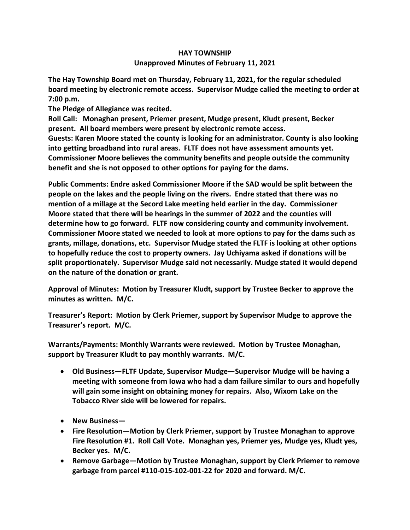## **HAY TOWNSHIP Unapproved Minutes of February 11, 2021**

**The Hay Township Board met on Thursday, February 11, 2021, for the regular scheduled board meeting by electronic remote access. Supervisor Mudge called the meeting to order at 7:00 p.m.** 

**The Pledge of Allegiance was recited.** 

**Roll Call: Monaghan present, Priemer present, Mudge present, Kludt present, Becker present. All board members were present by electronic remote access. Guests: Karen Moore stated the county is looking for an administrator. County is also looking** 

**into getting broadband into rural areas. FLTF does not have assessment amounts yet. Commissioner Moore believes the community benefits and people outside the community benefit and she is not opposed to other options for paying for the dams.**

**Public Comments: Endre asked Commissioner Moore if the SAD would be split between the people on the lakes and the people living on the rivers. Endre stated that there was no mention of a millage at the Secord Lake meeting held earlier in the day. Commissioner Moore stated that there will be hearings in the summer of 2022 and the counties will determine how to go forward. FLTF now considering county and community involvement. Commissioner Moore stated we needed to look at more options to pay for the dams such as grants, millage, donations, etc. Supervisor Mudge stated the FLTF is looking at other options to hopefully reduce the cost to property owners. Jay Uchiyama asked if donations will be split proportionately. Supervisor Mudge said not necessarily. Mudge stated it would depend on the nature of the donation or grant.**

**Approval of Minutes: Motion by Treasurer Kludt, support by Trustee Becker to approve the minutes as written. M/C.**

**Treasurer's Report: Motion by Clerk Priemer, support by Supervisor Mudge to approve the Treasurer's report. M/C.**

**Warrants/Payments: Monthly Warrants were reviewed. Motion by Trustee Monaghan, support by Treasurer Kludt to pay monthly warrants. M/C.**

- **Old Business—FLTF Update, Supervisor Mudge—Supervisor Mudge will be having a meeting with someone from Iowa who had a dam failure similar to ours and hopefully will gain some insight on obtaining money for repairs. Also, Wixom Lake on the Tobacco River side will be lowered for repairs.**
- **New Business—**
- **Fire Resolution—Motion by Clerk Priemer, support by Trustee Monaghan to approve Fire Resolution #1. Roll Call Vote. Monaghan yes, Priemer yes, Mudge yes, Kludt yes, Becker yes. M/C.**
- **Remove Garbage—Motion by Trustee Monaghan, support by Clerk Priemer to remove garbage from parcel #110-015-102-001-22 for 2020 and forward. M/C.**